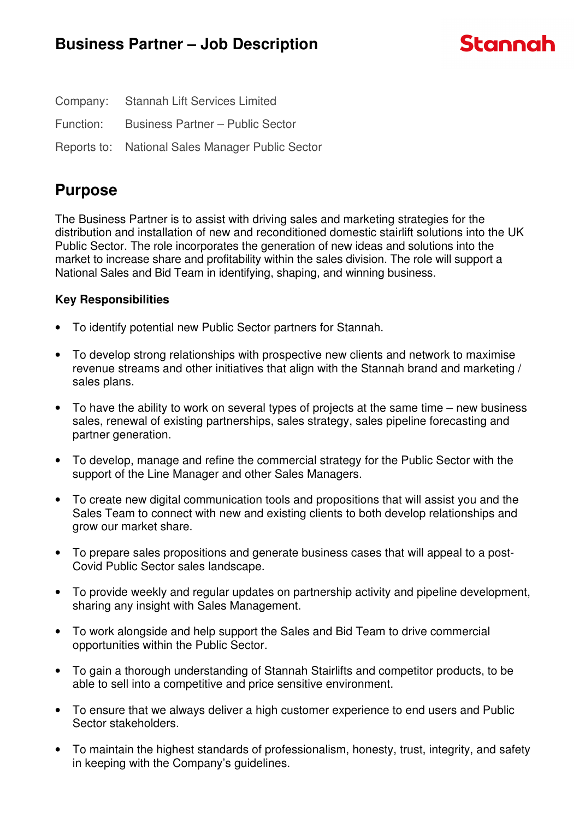|           | Company: Stannah Lift Services Limited           |
|-----------|--------------------------------------------------|
| Function: | <b>Business Partner - Public Sector</b>          |
|           | Reports to: National Sales Manager Public Sector |

# **Purpose**

The Business Partner is to assist with driving sales and marketing strategies for the distribution and installation of new and reconditioned domestic stairlift solutions into the UK Public Sector. The role incorporates the generation of new ideas and solutions into the market to increase share and profitability within the sales division. The role will support a National Sales and Bid Team in identifying, shaping, and winning business.

# **Key Responsibilities**

- To identify potential new Public Sector partners for Stannah.
- To develop strong relationships with prospective new clients and network to maximise revenue streams and other initiatives that align with the Stannah brand and marketing / sales plans.
- To have the ability to work on several types of projects at the same time new business sales, renewal of existing partnerships, sales strategy, sales pipeline forecasting and partner generation.
- To develop, manage and refine the commercial strategy for the Public Sector with the support of the Line Manager and other Sales Managers.
- To create new digital communication tools and propositions that will assist you and the Sales Team to connect with new and existing clients to both develop relationships and grow our market share.
- To prepare sales propositions and generate business cases that will appeal to a post-Covid Public Sector sales landscape.
- To provide weekly and regular updates on partnership activity and pipeline development, sharing any insight with Sales Management.
- To work alongside and help support the Sales and Bid Team to drive commercial opportunities within the Public Sector.
- To gain a thorough understanding of Stannah Stairlifts and competitor products, to be able to sell into a competitive and price sensitive environment.
- To ensure that we always deliver a high customer experience to end users and Public Sector stakeholders.
- To maintain the highest standards of professionalism, honesty, trust, integrity, and safety in keeping with the Company's guidelines.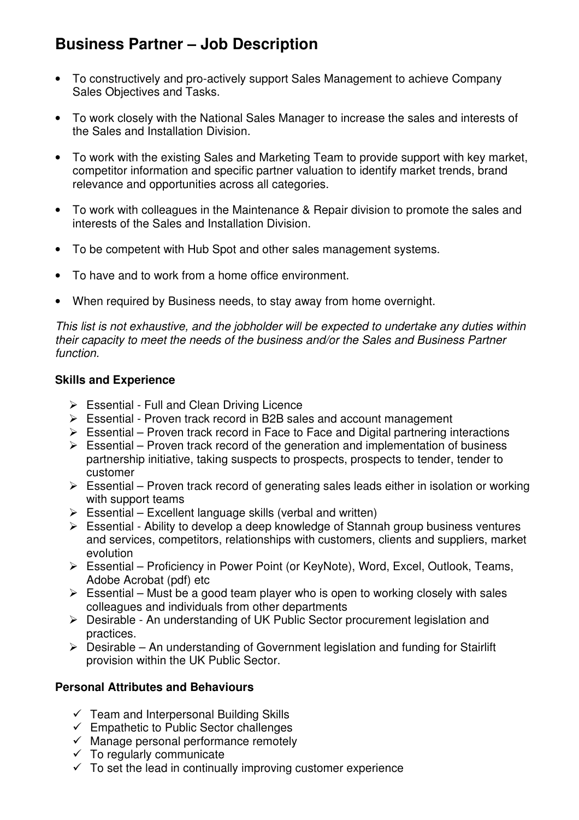# **Business Partner – Job Description**

- To constructively and pro-actively support Sales Management to achieve Company Sales Objectives and Tasks.
- To work closely with the National Sales Manager to increase the sales and interests of the Sales and Installation Division.
- To work with the existing Sales and Marketing Team to provide support with key market, competitor information and specific partner valuation to identify market trends, brand relevance and opportunities across all categories.
- To work with colleagues in the Maintenance & Repair division to promote the sales and interests of the Sales and Installation Division.
- To be competent with Hub Spot and other sales management systems.
- To have and to work from a home office environment.
- When required by Business needs, to stay away from home overnight.

This list is not exhaustive, and the jobholder will be expected to undertake any duties within their capacity to meet the needs of the business and/or the Sales and Business Partner function.

#### **Skills and Experience**

- $\triangleright$  Essential Full and Clean Driving Licence
- $\triangleright$  Essential Proven track record in B2B sales and account management
- $\triangleright$  Essential Proven track record in Face to Face and Digital partnering interactions
- $\triangleright$  Essential Proven track record of the generation and implementation of business partnership initiative, taking suspects to prospects, prospects to tender, tender to customer
- $\triangleright$  Essential Proven track record of generating sales leads either in isolation or working with support teams
- $\triangleright$  Essential Excellent language skills (verbal and written)
- $\triangleright$  Essential Ability to develop a deep knowledge of Stannah group business ventures and services, competitors, relationships with customers, clients and suppliers, market evolution
- Essential Proficiency in Power Point (or KeyNote), Word, Excel, Outlook, Teams, Adobe Acrobat (pdf) etc
- $\triangleright$  Essential Must be a good team player who is open to working closely with sales colleagues and individuals from other departments
- Desirable An understanding of UK Public Sector procurement legislation and practices.
- $\triangleright$  Desirable An understanding of Government legislation and funding for Stairlift provision within the UK Public Sector.

## **Personal Attributes and Behaviours**

- $\checkmark$  Team and Interpersonal Building Skills
- $\checkmark$  Empathetic to Public Sector challenges
- $\checkmark$  Manage personal performance remotely
- $\checkmark$  To regularly communicate
- $\checkmark$  To set the lead in continually improving customer experience